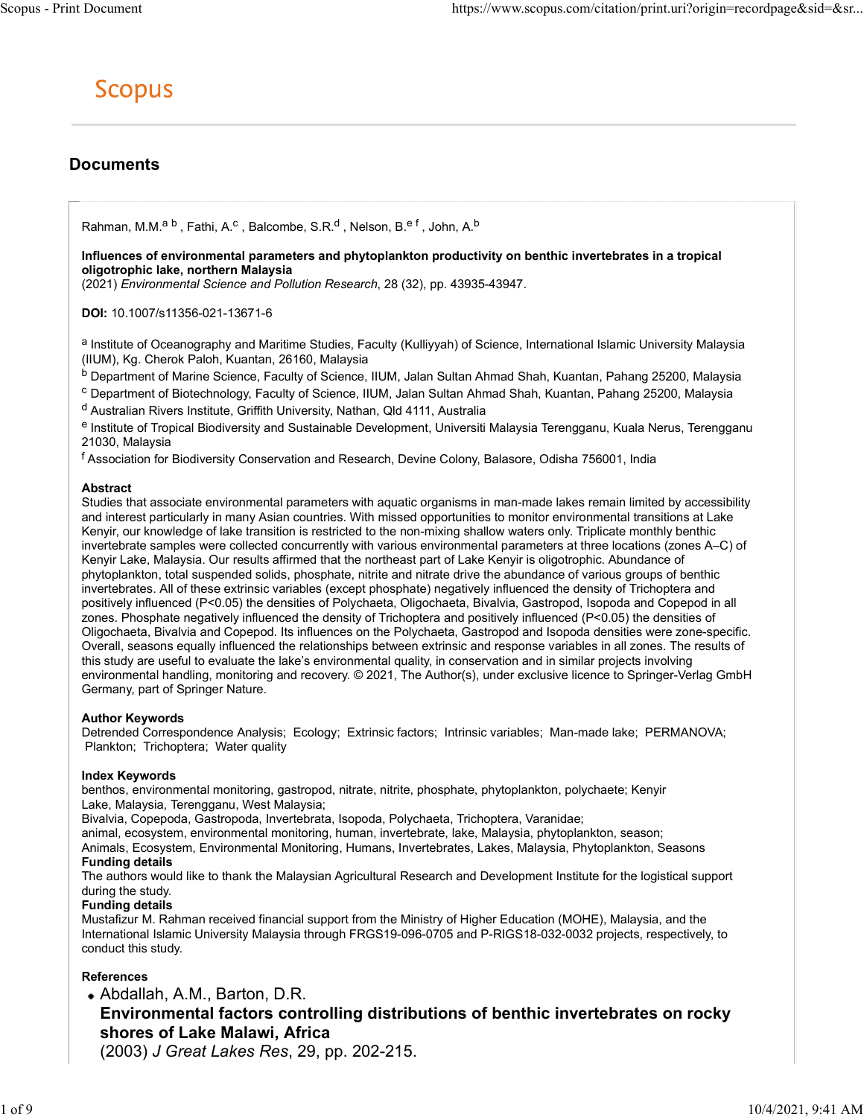## **Documents**

Machines https://www.scopus.com/citation<br>
SCOPUS<br>
COPUS<br>
Rahman, M.M.<sup>a b</sup> , Fathi, A.<sup>c</sup> , Balcombe, S.R.<sup>d</sup> , Nelson, B.<sup>e f</sup> , John, A.<sup>b</sup><br>
origotrophic lake, nothern Malaysia<br>
oligotrophic lake, nothern Malaysia<br>
(2021 https://www.scopus.com/citation/print.uri?origin=recordpage&sid=&sr...<br>
, Balcombe, S.R.<sup>d</sup> , Nelson, B.<sup>e f</sup> , John, A.<sup>b</sup><br>
Malaysia<br>
Margaters and phytoplankton productivity on benthic invertebrates in a tropical<br>
Malays Influences of environmental parameters and phytoplankton productivity on benthic invertebrates in a tropical oligotrophic lake, northern Malaysia

(2021) Environmental Science and Pollution Research, 28 (32), pp. 43935-43947.

DOI: 10.1007/s11356-021-13671-6

a Institute of Oceanography and Maritime Studies, Faculty (Kulliyyah) of Science, International Islamic University Malaysia (IIUM), Kg. Cherok Paloh, Kuantan, 26160, Malaysia

b Department of Marine Science, Faculty of Science, IIUM, Jalan Sultan Ahmad Shah, Kuantan, Pahang 25200, Malaysia

<sup>c</sup> Department of Biotechnology, Faculty of Science, IIUM, Jalan Sultan Ahmad Shah, Kuantan, Pahang 25200, Malaysia

d Australian Rivers Institute, Griffith University, Nathan, Qld 4111, Australia

e Institute of Tropical Biodiversity and Sustainable Development, Universiti Malaysia Terengganu, Kuala Nerus, Terengganu 21030, Malaysia

f Association for Biodiversity Conservation and Research, Devine Colony, Balasore, Odisha 756001, India

#### Abstract

Studies that associate environmental parameters with aquatic organisms in man-made lakes remain limited by accessibility and interest particularly in many Asian countries. With missed opportunities to monitor environmental transitions at Lake Kenyir, our knowledge of lake transition is restricted to the non-mixing shallow waters only. Triplicate monthly benthic invertebrate samples were collected concurrently with various environmental parameters at three locations (zones A–C) of Kenyir Lake, Malaysia. Our results affirmed that the northeast part of Lake Kenyir is oligotrophic. Abundance of phytoplankton, total suspended solids, phosphate, nitrite and nitrate drive the abundance of various groups of benthic invertebrates. All of these extrinsic variables (except phosphate) negatively influenced the density of Trichoptera and positively influenced (P<0.05) the densities of Polychaeta, Oligochaeta, Bivalvia, Gastropod, Isopoda and Copepod in all zones. Phosphate negatively influenced the density of Trichoptera and positively influenced (P<0.05) the densities of Oligochaeta, Bivalvia and Copepod. Its influences on the Polychaeta, Gastropod and Isopoda densities were zone-specific. Overall, seasons equally influenced the relationships between extrinsic and response variables in all zones. The results of this study are useful to evaluate the lake's environmental quality, in conservation and in similar projects involving environmental handling, monitoring and recovery. © 2021, The Author(s), under exclusive licence to Springer-Verlag GmbH Germany, part of Springer Nature.

### Author Keywords

Detrended Correspondence Analysis; Ecology; Extrinsic factors; Intrinsic variables; Man-made lake; PERMANOVA; Plankton; Trichoptera; Water quality

### Index Keywords

benthos, environmental monitoring, gastropod, nitrate, nitrite, phosphate, phytoplankton, polychaete; Kenyir Lake, Malaysia, Terengganu, West Malaysia;

Bivalvia, Copepoda, Gastropoda, Invertebrata, Isopoda, Polychaeta, Trichoptera, Varanidae;

animal, ecosystem, environmental monitoring, human, invertebrate, lake, Malaysia, phytoplankton, season; Animals, Ecosystem, Environmental Monitoring, Humans, Invertebrates, Lakes, Malaysia, Phytoplankton, Seasons Funding details

The authors would like to thank the Malaysian Agricultural Research and Development Institute for the logistical support during the study.

#### Funding details

Mustafizur M. Rahman received financial support from the Ministry of Higher Education (MOHE), Malaysia, and the International Islamic University Malaysia through FRGS19-096-0705 and P-RIGS18-032-0032 projects, respectively, to conduct this study.

### References

# Abdallah, A.M., Barton, D.R. Environmental factors controlling distributions of benthic invertebrates on rocky shores of Lake Malawi, Africa

(2003) J Great Lakes Res, 29, pp. 202-215.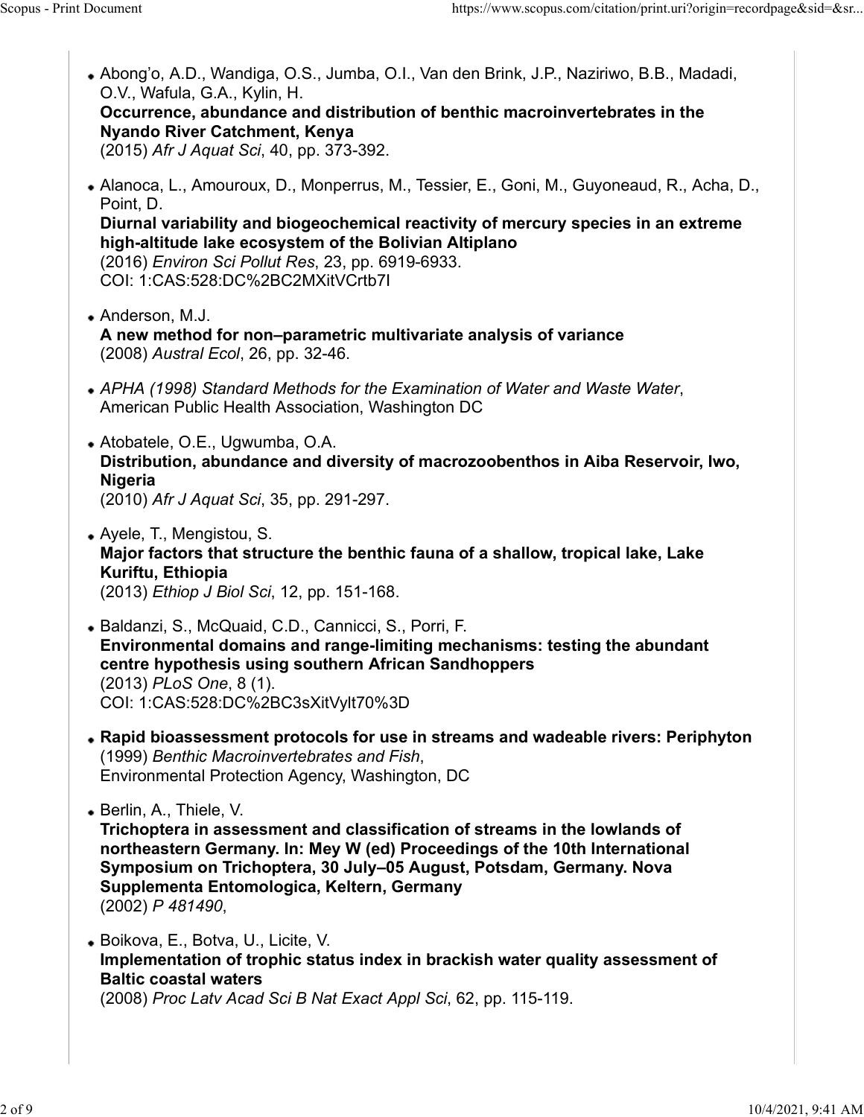Abong'o, A.D., Wandiga, O.S., Jumba, O.I., Van den Brink, J.P., Naziriwo, B.B., Madadi, O.V., Wafula, G.A., Kylin, H. Occurrence, abundance and distribution of benthic macroinvertebrates in the Nyando River Catchment, Kenya (2015) Afr J Aquat Sci, 40, pp. 373-392. Alanoca, L., Amouroux, D., Monperrus, M., Tessier, E., Goni, M., Guyoneaud, R., Acha, D., Point, D. Diurnal variability and biogeochemical reactivity of mercury species in an extreme high-altitude lake ecosystem of the Bolivian Altiplano (2016) Environ Sci Pollut Res, 23, pp. 6919-6933. COI: 1:CAS:528:DC%2BC2MXitVCrtb7I Anderson, M.J. A new method for non–parametric multivariate analysis of variance (2008) Austral Ecol, 26, pp. 32-46. • APHA (1998) Standard Methods for the Examination of Water and Waste Water,<br>American Public Health Association, Washington DC Atobatele, O.E., Ugwumba, O.A. Distribution, abundance and diversity of macrozoobenthos in Aiba Reservoir, Iwo, Nigeria (2010) Afr J Aquat Sci, 35, pp. 291-297. Ayele, T., Mengistou, S. Major factors that structure the benthic fauna of a shallow, tropical lake, Lake Kuriftu, Ethiopia (2013) Ethiop J Biol Sci, 12, pp. 151-168. Baldanzi, S., McQuaid, C.D., Cannicci, S., Porri, F. Environmental domains and range-limiting mechanisms: testing the abundant centre hypothesis using southern African Sandhoppers (2013) PLoS One, 8 (1). COI: 1:CAS:528:DC%2BC3sXitVylt70%3D Rapid bioassessment protocols for use in streams and wadeable rivers: Periphyton (1999) Benthic Macroinvertebrates and Fish, Environmental Protection Agency, Washington, DC Berlin, A., Thiele, V. Trichoptera in assessment and classification of streams in the lowlands of northeastern Germany. In: Mey W (ed) Proceedings of the 10th International Symposium on Trichoptera, 30 July–05 August, Potsdam, Germany. Nova Supplementa Entomologica, Keltern, Germany (2002) *P 481490*,<br>• Boikova, E., Botva, U., Licite, V. Implementation of trophic status index in brackish water quality assessment of Baltic coastal waters (2008) Proc Latv Acad Sci B Nat Exact Appl Sci, 62, pp. 115-119. Scopus - Print Document https://www.scopus.com/citation/print.uri?origin=recordpage&sid=&sr...<br>• Abong'o, A.D., Wandiga, O.S., Jumba, O.I., Van den Brink, J.P., Naziriwo, B.B., Madadi, O.V., Wafula, G.A., Kylin, H.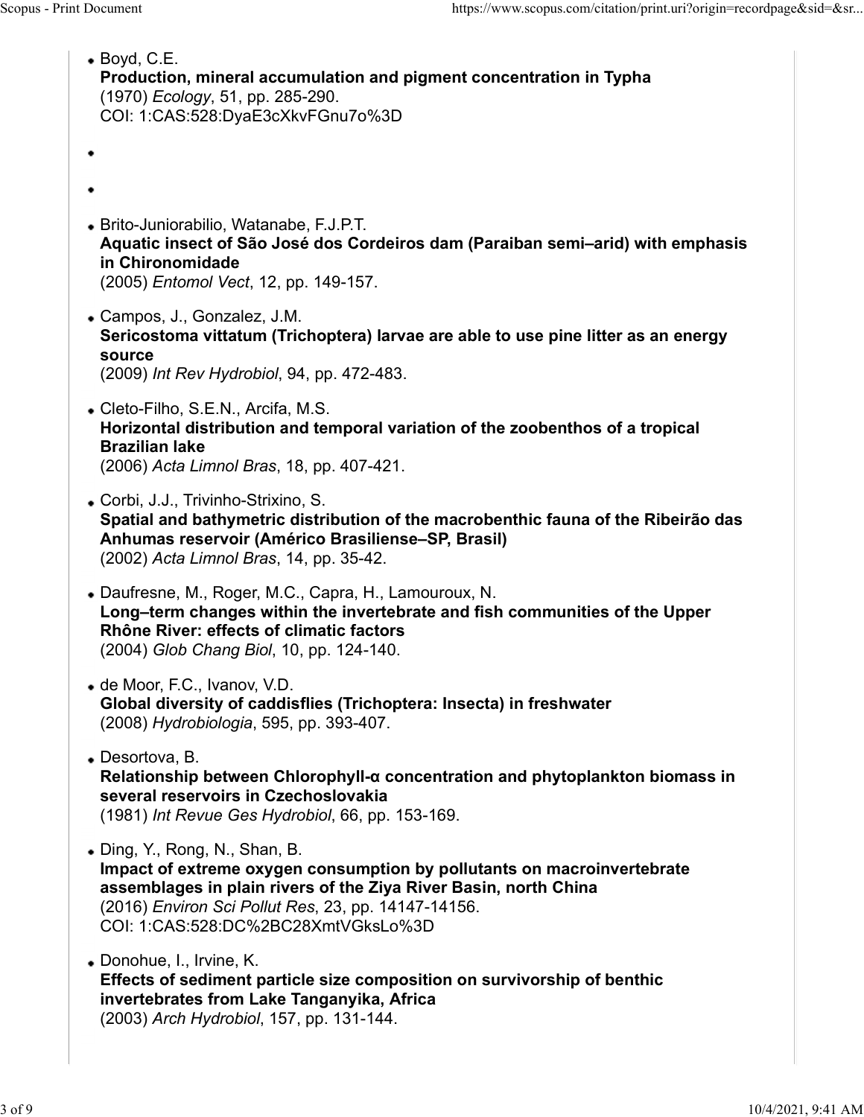| Scopus - Print Document                                                                                             | https://www.scopus.com/citation/print.uri?origin=recordpage&sid=&sr                                                                                                                                |
|---------------------------------------------------------------------------------------------------------------------|----------------------------------------------------------------------------------------------------------------------------------------------------------------------------------------------------|
| $\bullet$ Boyd, C.E.<br>(1970) Ecology, 51, pp. 285-290.<br>COI: 1:CAS:528:DyaE3cXkvFGnu7o%3D                       | Production, mineral accumulation and pigment concentration in Typha                                                                                                                                |
| ٠                                                                                                                   |                                                                                                                                                                                                    |
| ٠                                                                                                                   |                                                                                                                                                                                                    |
| • Brito-Juniorabilio, Watanabe, F.J.P.T.<br>in Chironomidade<br>(2005) Entomol Vect, 12, pp. 149-157.               | Aquatic insect of São José dos Cordeiros dam (Paraiban semi-arid) with emphasis                                                                                                                    |
| • Campos, J., Gonzalez, J.M.<br>source<br>(2009) Int Rev Hydrobiol, 94, pp. 472-483.                                | Sericostoma vittatum (Trichoptera) larvae are able to use pine litter as an energy                                                                                                                 |
| • Cleto-Filho, S.E.N., Arcifa, M.S.<br><b>Brazilian lake</b><br>(2006) Acta Limnol Bras, 18, pp. 407-421.           | Horizontal distribution and temporal variation of the zoobenthos of a tropical                                                                                                                     |
| • Corbi, J.J., Trivinho-Strixino, S.<br>(2002) Acta Limnol Bras, 14, pp. 35-42.                                     | Spatial and bathymetric distribution of the macrobenthic fauna of the Ribeirão das<br>Anhumas reservoir (Américo Brasiliense-SP, Brasil)                                                           |
| Rhône River: effects of climatic factors<br>(2004) Glob Chang Biol, 10, pp. 124-140.                                | • Daufresne, M., Roger, M.C., Capra, H., Lamouroux, N.<br>Long-term changes within the invertebrate and fish communities of the Upper                                                              |
| • de Moor, F.C., Ivanov, V.D.<br>(2008) Hydrobiologia, 595, pp. 393-407.                                            | Global diversity of caddisflies (Trichoptera: Insecta) in freshwater                                                                                                                               |
| • Desortova, B.<br>several reservoirs in Czechoslovakia                                                             | Relationship between Chlorophyll-a concentration and phytoplankton biomass in<br>(1981) Int Revue Ges Hydrobiol, 66, pp. 153-169.                                                                  |
| • Ding, Y., Rong, N., Shan, B.<br>COI: 1:CAS:528:DC%2BC28XmtVGksLo%3D                                               | Impact of extreme oxygen consumption by pollutants on macroinvertebrate<br>assemblages in plain rivers of the Ziya River Basin, north China<br>(2016) Environ Sci Pollut Res, 23, pp. 14147-14156. |
| • Donohue, I., Irvine, K.<br>invertebrates from Lake Tanganyika, Africa<br>(2003) Arch Hydrobiol, 157, pp. 131-144. | Effects of sediment particle size composition on survivorship of benthic                                                                                                                           |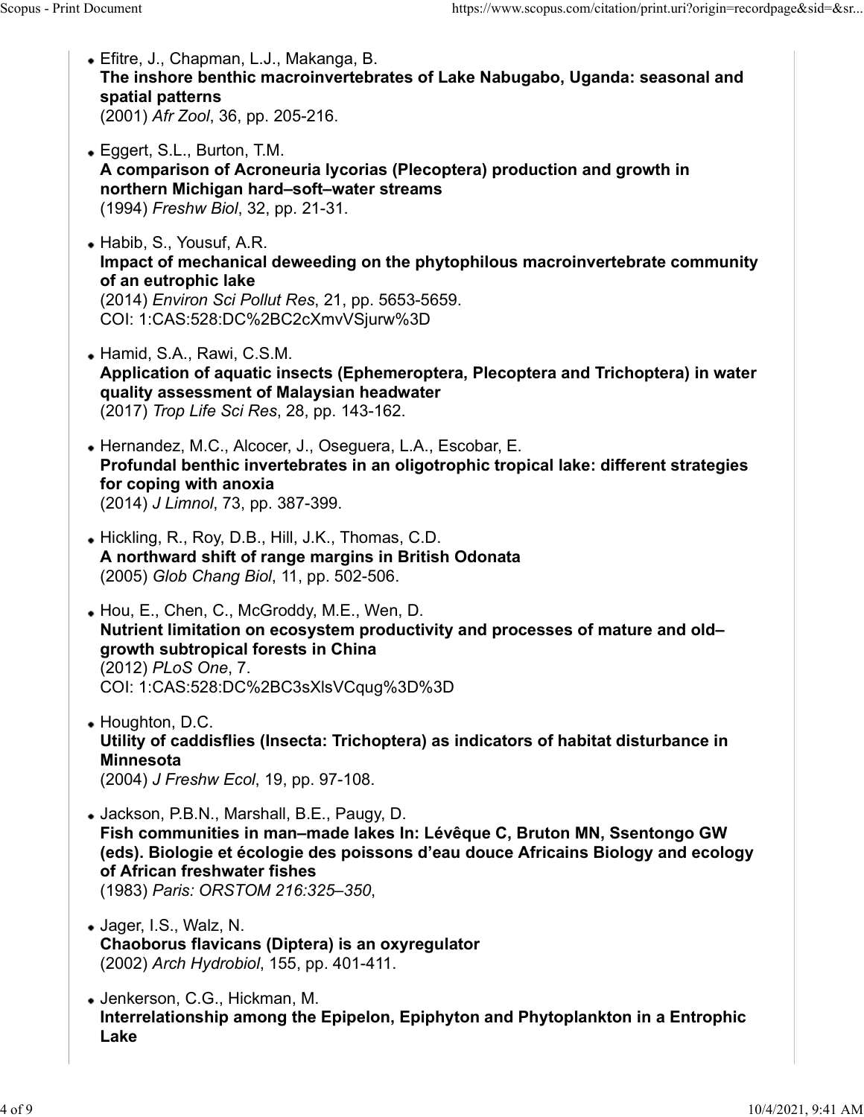- Efitre, J., Chapman, L.J., Makanga, B. The inshore benthic macroinvertebrates of Lake Nabugabo, Uganda: seasonal and spatial patterns (2001) Afr Zool, 36, pp. 205-216. Scopus - Print Document<br>
• Efitre, J., Chapman, L.J., Makanga, B.<br>
• Efitre, J., Chapman, L.J., Makanga, B.<br> **The inshore benthic macroinvertebrates of Lake Nabugabo, Uganda: seasonal and spatial patterns** 
	- Eggert, S.L., Burton, T.M. A comparison of Acroneuria lycorias (Plecoptera) production and growth in northern Michigan hard–soft–water streams (1994) Freshw Biol, 32, pp. 21-31.
	- Habib, S., Yousuf, A.R. Impact of mechanical deweeding on the phytophilous macroinvertebrate community of an eutrophic lake (2014) Environ Sci Pollut Res, 21, pp. 5653-5659. COI: 1:CAS:528:DC%2BC2cXmvVSjurw%3D
	- Hamid, S.A., Rawi, C.S.M. Application of aquatic insects (Ephemeroptera, Plecoptera and Trichoptera) in water quality assessment of Malaysian headwater (2017) Trop Life Sci Res, 28, pp. 143-162.
	- Hernandez, M.C., Alcocer, J., Oseguera, L.A., Escobar, E. Profundal benthic invertebrates in an oligotrophic tropical lake: different strategies for coping with anoxia (2014) J Limnol, 73, pp. 387-399.
	- Hickling, R., Roy, D.B., Hill, J.K., Thomas, C.D. A northward shift of range margins in British Odonata (2005) Glob Chang Biol, 11, pp. 502-506.
	- Hou, E., Chen, C., McGroddy, M.E., Wen, D. Nutrient limitation on ecosystem productivity and processes of mature and old– growth subtropical forests in China (2012) PLoS One, 7. COI: 1:CAS:528:DC%2BC3sXlsVCqug%3D%3D
	- Houghton, D.C. Utility of caddisflies (Insecta: Trichoptera) as indicators of habitat disturbance in Minnesota (2004) J Freshw Ecol, 19, pp. 97-108.
	- Jackson, P.B.N., Marshall, B.E., Paugy, D. Fish communities in man–made lakes In: Lévêque C, Bruton MN, Ssentongo GW (eds). Biologie et écologie des poissons d'eau douce Africains Biology and ecology of African freshwater fishes
	- (1983) *Paris: ORSTOM 216:325–350,*<br>• Jager, I.S., Walz, N. Chaoborus flavicans (Diptera) is an oxyregulator (2002) Arch Hydrobiol, 155, pp. 401-411.
	- Jenkerson, C.G., Hickman, M. Interrelationship among the Epipelon, Epiphyton and Phytoplankton in a Entrophic Lake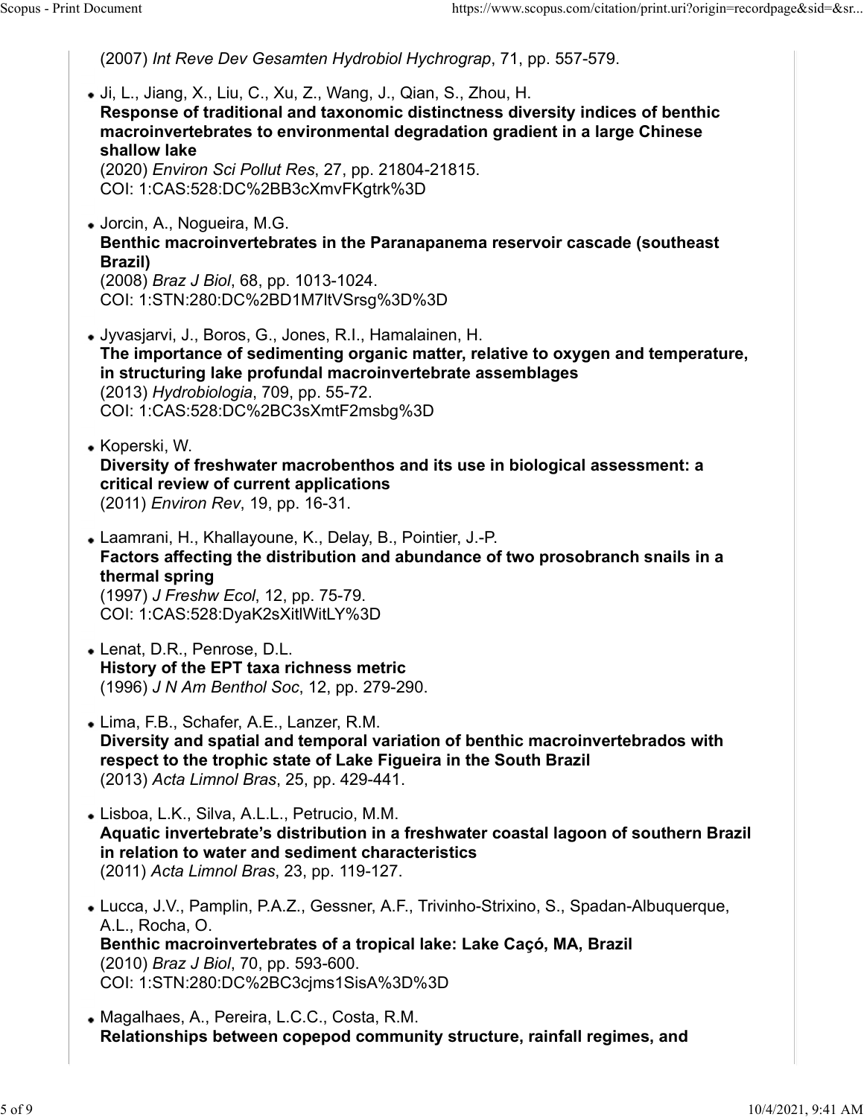(2007) Int Reve Dev Gesamten Hydrobiol Hychrograp, 71, pp. 557-579. Ji, L., Jiang, X., Liu, C., Xu, Z., Wang, J., Qian, S., Zhou, H. Response of traditional and taxonomic distinctness diversity indices of benthic macroinvertebrates to environmental degradation gradient in a large Chinese shallow lake (2020) Environ Sci Pollut Res, 27, pp. 21804-21815. COI: 1:CAS:528:DC%2BB3cXmvFKgtrk%3D Jorcin, A., Nogueira, M.G. Benthic macroinvertebrates in the Paranapanema reservoir cascade (southeast Brazil) (2008) Braz J Biol, 68, pp. 1013-1024. COI: 1:STN:280:DC%2BD1M7ltVSrsg%3D%3D Jyvasjarvi, J., Boros, G., Jones, R.I., Hamalainen, H. The importance of sedimenting organic matter, relative to oxygen and temperature, in structuring lake profundal macroinvertebrate assemblages (2013) Hydrobiologia, 709, pp. 55-72. COI: 1:CAS:528:DC%2BC3sXmtF2msbg%3D • Koperski, W. Diversity of freshwater macrobenthos and its use in biological assessment: a critical review of current applications (2011) Environ Rev, 19, pp. 16-31. Laamrani, H., Khallayoune, K., Delay, B., Pointier, J.-P. Factors affecting the distribution and abundance of two prosobranch snails in a thermal spring (1997) J Freshw Ecol, 12, pp. 75-79. COI: 1:CAS:528:DyaK2sXitlWitLY%3D Lenat, D.R., Penrose, D.L. History of the EPT taxa richness metric (1996) J N Am Benthol Soc, 12, pp. 279-290. Lima, F.B., Schafer, A.E., Lanzer, R.M. Diversity and spatial and temporal variation of benthic macroinvertebrados with respect to the trophic state of Lake Figueira in the South Brazil (2013) Acta Limnol Bras, 25, pp. 429-441. Lisboa, L.K., Silva, A.L.L., Petrucio, M.M. Aquatic invertebrate's distribution in a freshwater coastal lagoon of southern Brazil in relation to water and sediment characteristics (2011) Acta Limnol Bras, 23, pp. 119-127. Lucca, J.V., Pamplin, P.A.Z., Gessner, A.F., Trivinho-Strixino, S., Spadan-Albuquerque, A.L., Rocha, O. Scopus - Print Document https://www.scopus.com/citation/print.uri?origin=recordpage&sid=&sr...<br>
(2007) *Int Reve Dev Gesamten Hydrobiol Hychrograp*, 71, pp. 557-579.<br>
• Ji, L., Jiang, X., Liu, C., Xu, Z., Wang, J., Qian, S

Benthic macroinvertebrates of a tropical lake: Lake Caçó, MA, Brazil (2010) Braz J Biol, 70, pp. 593-600. COI: 1:STN:280:DC%2BC3cjms1SisA%3D%3D

Magalhaes, A., Pereira, L.C.C., Costa, R.M. Relationships between copepod community structure, rainfall regimes, and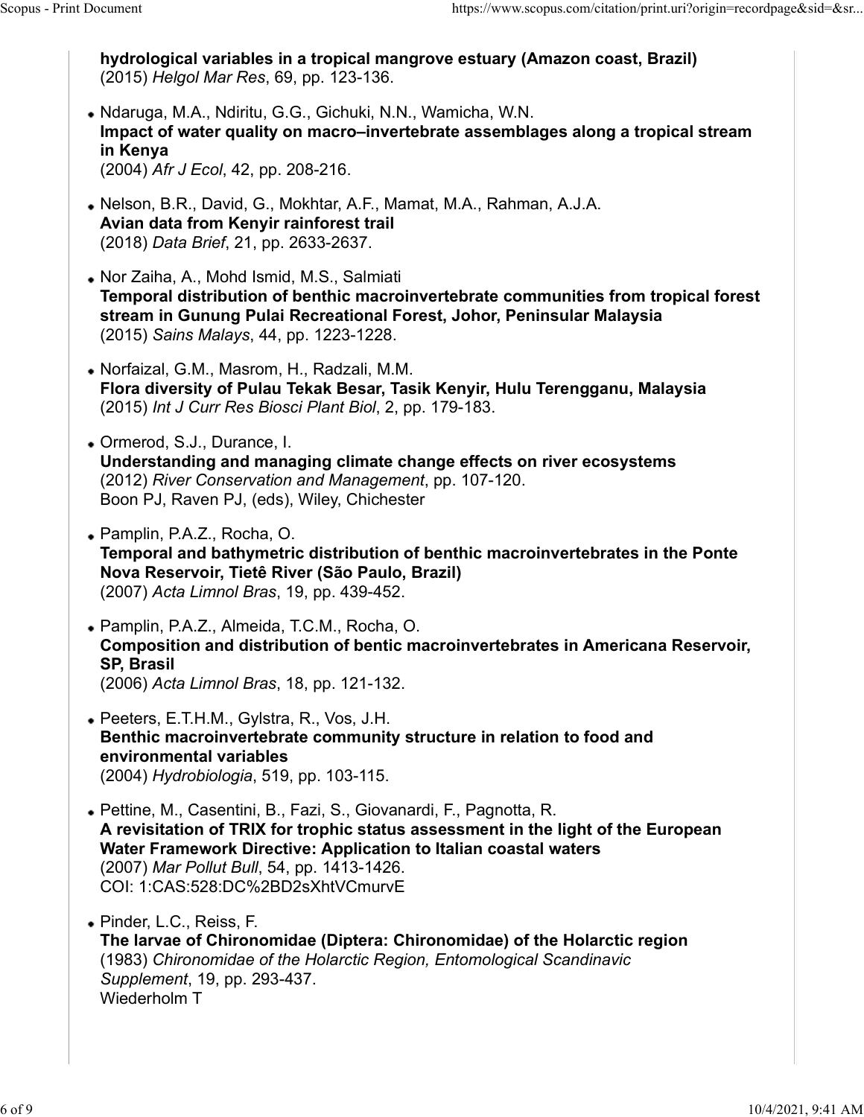hydrological variables in a tropical mangrove estuary (Amazon coast, Brazil) (2015) Helgol Mar Res, 69, pp. 123-136. Ndaruga, M.A., Ndiritu, G.G., Gichuki, N.N., Wamicha, W.N. Impact of water quality on macro–invertebrate assemblages along a tropical stream in Kenya (2004) Afr J Ecol, 42, pp. 208-216. Nelson, B.R., David, G., Mokhtar, A.F., Mamat, M.A., Rahman, A.J.A. Avian data from Kenyir rainforest trail (2018) Data Brief, 21, pp. 2633-2637. Nor Zaiha, A., Mohd Ismid, M.S., Salmiati Temporal distribution of benthic macroinvertebrate communities from tropical forest stream in Gunung Pulai Recreational Forest, Johor, Peninsular Malaysia (2015) Sains Malays, 44, pp. 1223-1228. Norfaizal, G.M., Masrom, H., Radzali, M.M. Flora diversity of Pulau Tekak Besar, Tasik Kenyir, Hulu Terengganu, Malaysia (2015) Int J Curr Res Biosci Plant Biol, 2, pp. 179-183. Ormerod, S.J., Durance, I. Understanding and managing climate change effects on river ecosystems (2012) River Conservation and Management, pp. 107-120. Boon PJ, Raven PJ, (eds), Wiley, Chichester Pamplin, P.A.Z., Rocha, O. Temporal and bathymetric distribution of benthic macroinvertebrates in the Ponte Nova Reservoir, Tietê River (São Paulo, Brazil) (2007) Acta Limnol Bras, 19, pp. 439-452. Pamplin, P.A.Z., Almeida, T.C.M., Rocha, O. Composition and distribution of bentic macroinvertebrates in Americana Reservoir, SP, Brasil (2006) Acta Limnol Bras, 18, pp. 121-132. Peeters, E.T.H.M., Gylstra, R., Vos, J.H. Benthic macroinvertebrate community structure in relation to food and environmental variables (2004) Hydrobiologia, 519, pp. 103-115. Pettine, M., Casentini, B., Fazi, S., Giovanardi, F., Pagnotta, R. A revisitation of TRIX for trophic status assessment in the light of the European Water Framework Directive: Application to Italian coastal waters (2007) Mar Pollut Bull, 54, pp. 1413-1426. COI: 1:CAS:528:DC%2BD2sXhtVCmurvE Pinder, L.C., Reiss, F. The larvae of Chironomidae (Diptera: Chironomidae) of the Holarctic region (1983) Chironomidae of the Holarctic Region, Entomological Scandinavic Supplement, 19, pp. 293-437. Wiederholm T Scopus - Print Document<br>
hydrological variables in a tropical mangrove estuary (Amazon coast, Brazil)<br>
(2015) *Helgol Mar Res*, 69, pp. 123-136.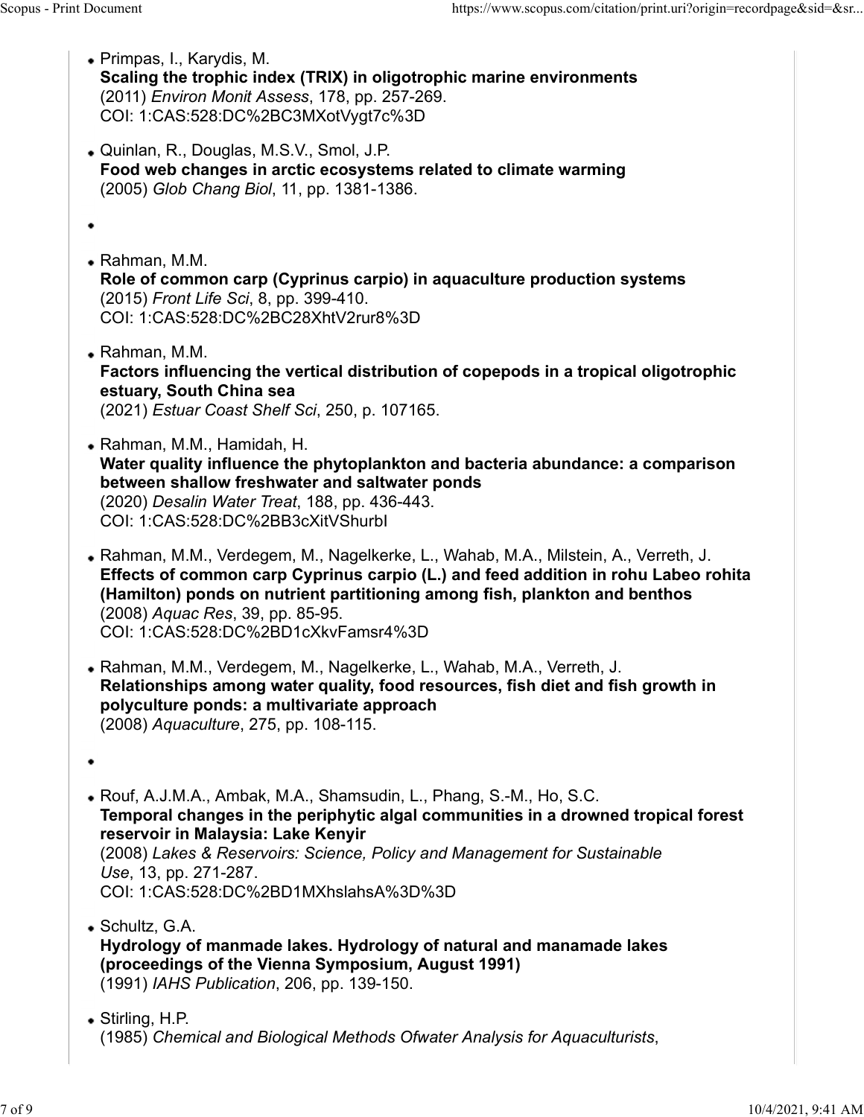Scopus - Print Document<br>
• Primpas, I., Karydis, M.<br>
• Scaling the trophic index (TRIX) in oligotrophic marine environments<br>
(2011) *Environ Monit Assess*. 178. pp. 257-269. Primpas, I., Karydis, M. Scaling the trophic index (TRIX) in oligotrophic marine environments (2011) Environ Monit Assess, 178, pp. 257-269. COI: 1:CAS:528:DC%2BC3MXotVygt7c%3D Quinlan, R., Douglas, M.S.V., Smol, J.P. Food web changes in arctic ecosystems related to climate warming (2005) Glob Chang Biol, 11, pp. 1381-1386. ٠ Rahman, M.M. Role of common carp (Cyprinus carpio) in aquaculture production systems (2015) Front Life Sci, 8, pp. 399-410. COI: 1:CAS:528:DC%2BC28XhtV2rur8%3D Rahman, M.M. Factors influencing the vertical distribution of copepods in a tropical oligotrophic estuary, South China sea (2021) Estuar Coast Shelf Sci, 250, p. 107165. Rahman, M.M., Hamidah, H. Water quality influence the phytoplankton and bacteria abundance: a comparison between shallow freshwater and saltwater ponds (2020) Desalin Water Treat, 188, pp. 436-443. COI: 1:CAS:528:DC%2BB3cXitVShurbI Rahman, M.M., Verdegem, M., Nagelkerke, L., Wahab, M.A., Milstein, A., Verreth, J. Effects of common carp Cyprinus carpio (L.) and feed addition in rohu Labeo rohita (Hamilton) ponds on nutrient partitioning among fish, plankton and benthos (2008) Aquac Res, 39, pp. 85-95. COI: 1:CAS:528:DC%2BD1cXkvFamsr4%3D Rahman, M.M., Verdegem, M., Nagelkerke, L., Wahab, M.A., Verreth, J. Relationships among water quality, food resources, fish diet and fish growth in polyculture ponds: a multivariate approach (2008) Aquaculture, 275, pp. 108-115. Rouf, A.J.M.A., Ambak, M.A., Shamsudin, L., Phang, S.-M., Ho, S.C. Temporal changes in the periphytic algal communities in a drowned tropical forest reservoir in Malaysia: Lake Kenyir (2008) Lakes & Reservoirs: Science, Policy and Management for Sustainable Use, 13, pp. 271-287. COI: 1:CAS:528:DC%2BD1MXhslahsA%3D%3D Schultz, G.A. Hydrology of manmade lakes. Hydrology of natural and manamade lakes (proceedings of the Vienna Symposium, August 1991) (1991) IAHS Publication, 206, pp. 139-150. Stirling, H.P. (1985) Chemical and Biological Methods Ofwater Analysis for Aquaculturists,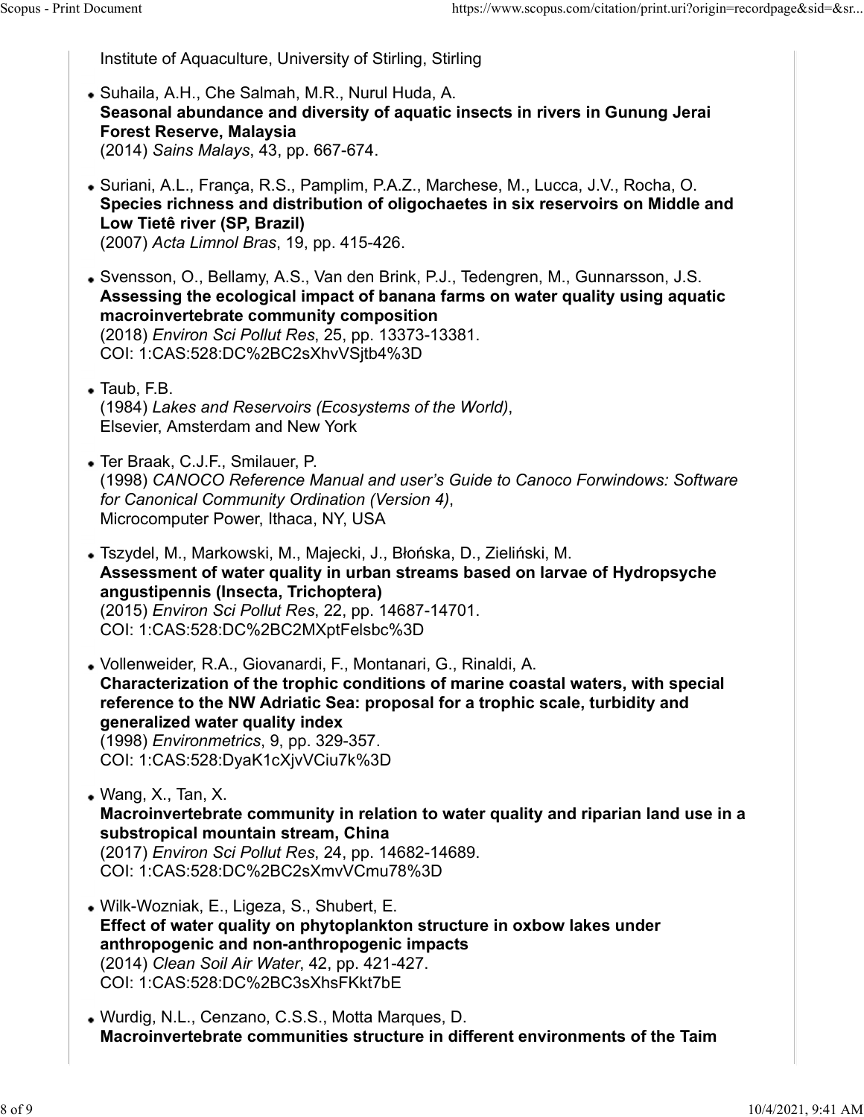Institute of Aquaculture, University of Stirling, Stirling

- Suhaila, A.H., Che Salmah, M.R., Nurul Huda, A. Seasonal abundance and diversity of aquatic insects in rivers in Gunung Jerai Forest Reserve, Malaysia (2014) Sains Malays, 43, pp. 667-674. Scopus - Print Document https://www.scopus.com/citation/print.uri?origin=recordpage&sid=&sr...<br>
Institute of Aquaculture, University of Stirling, Stirling<br>
• Suhaila, A.H., Che Salmah, M.R., Nurul Huda, A.
	- Suriani, A.L., França, R.S., Pamplim, P.A.Z., Marchese, M., Lucca, J.V., Rocha, O. Species richness and distribution of oligochaetes in six reservoirs on Middle and Low Tietê river (SP, Brazil) (2007) Acta Limnol Bras, 19, pp. 415-426.
	- Svensson, O., Bellamy, A.S., Van den Brink, P.J., Tedengren, M., Gunnarsson, J.S. Assessing the ecological impact of banana farms on water quality using aquatic macroinvertebrate community composition (2018) Environ Sci Pollut Res, 25, pp. 13373-13381. COI: 1:CAS:528:DC%2BC2sXhvVSjtb4%3D
	- Taub, F.B. (1984) *Lakes and Reservoirs (Ecosystems of the World),*<br>Elsevier, Amsterdam and New York
	- Ter Braak, C.J.F., Smilauer, P. (1998) CANOCO Reference Manual and user's Guide to Canoco Forwindows: Software for Canonical Community Ordination (Version 4), Microcomputer Power, Ithaca, NY, USA
	- Tszydel, M., Markowski, M., Majecki, J., Błońska, D., Zieliński, M. Assessment of water quality in urban streams based on larvae of Hydropsyche angustipennis (Insecta, Trichoptera) (2015) Environ Sci Pollut Res, 22, pp. 14687-14701. COI: 1:CAS:528:DC%2BC2MXptFelsbc%3D

Vollenweider, R.A., Giovanardi, F., Montanari, G., Rinaldi, A. Characterization of the trophic conditions of marine coastal waters, with special reference to the NW Adriatic Sea: proposal for a trophic scale, turbidity and generalized water quality index (1998) Environmetrics, 9, pp. 329-357. COI: 1:CAS:528:DyaK1cXjvVCiu7k%3D

- Wang, X., Tan, X. Macroinvertebrate community in relation to water quality and riparian land use in a substropical mountain stream, China (2017) Environ Sci Pollut Res, 24, pp. 14682-14689. COI: 1:CAS:528:DC%2BC2sXmvVCmu78%3D
- Wilk-Wozniak, E., Ligeza, S., Shubert, E. Effect of water quality on phytoplankton structure in oxbow lakes under anthropogenic and non-anthropogenic impacts (2014) Clean Soil Air Water, 42, pp. 421-427. COI: 1:CAS:528:DC%2BC3sXhsFKkt7bE
- Wurdig, N.L., Cenzano, C.S.S., Motta Marques, D. Macroinvertebrate communities structure in different environments of the Taim